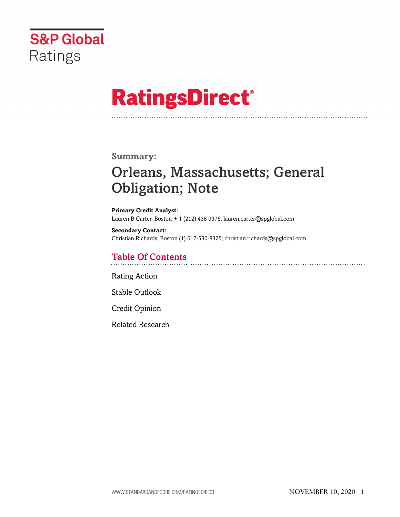

# **RatingsDirect®**

## **Summary:**

## Orleans, Massachusetts; General Obligation; Note

**Primary Credit Analyst:** Lauren B Carter, Boston + 1 (212) 438 0376; lauren.carter@spglobal.com

**Secondary Contact:** Christian Richards, Boston (1) 617-530-8325; christian.richards@spglobal.com

## Table Of Contents

[Rating Action](#page-1-0)

[Stable Outlook](#page-3-0)

[Credit Opinion](#page-3-1)

[Related Research](#page-6-0)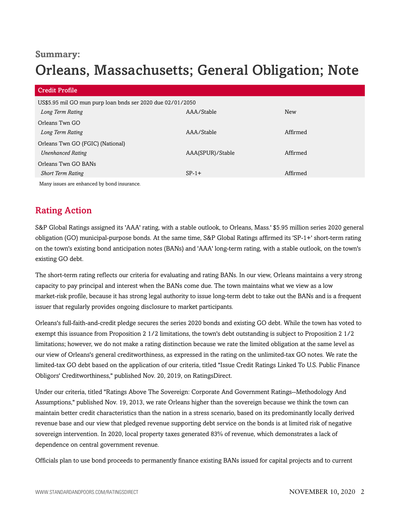## **Summary:**

## Orleans, Massachusetts; General Obligation; Note

| <b>Credit Profile</b>                                      |                  |            |
|------------------------------------------------------------|------------------|------------|
| US\$5.95 mil GO mun purp loan bnds ser 2020 due 02/01/2050 |                  |            |
| Long Term Rating                                           | AAA/Stable       | <b>New</b> |
| Orleans Twn GO                                             |                  |            |
| Long Term Rating                                           | AAA/Stable       | Affirmed   |
| Orleans Twn GO (FGIC) (National)                           |                  |            |
| <b>Unenhanced Rating</b>                                   | AAA(SPUR)/Stable | Affirmed   |
| Orleans Twn GO BANs                                        |                  |            |
| <b>Short Term Rating</b>                                   | $SP-1+$          | Affirmed   |
| Many issues are enhanced by bond insurance.                |                  |            |

## <span id="page-1-0"></span>Rating Action

S&P Global Ratings assigned its 'AAA' rating, with a stable outlook, to Orleans, Mass.' \$5.95 million series 2020 general obligation (GO) municipal-purpose bonds. At the same time, S&P Global Ratings affirmed its 'SP-1+' short-term rating on the town's existing bond anticipation notes (BANs) and 'AAA' long-term rating, with a stable outlook, on the town's existing GO debt.

The short-term rating reflects our criteria for evaluating and rating BANs. In our view, Orleans maintains a very strong capacity to pay principal and interest when the BANs come due. The town maintains what we view as a low market-risk profile, because it has strong legal authority to issue long-term debt to take out the BANs and is a frequent issuer that regularly provides ongoing disclosure to market participants.

Orleans's full-faith-and-credit pledge secures the series 2020 bonds and existing GO debt. While the town has voted to exempt this issuance from Proposition 2 1/2 limitations, the town's debt outstanding is subject to Proposition 2 1/2 limitations; however, we do not make a rating distinction because we rate the limited obligation at the same level as our view of Orleans's general creditworthiness, as expressed in the rating on the unlimited-tax GO notes. We rate the limited-tax GO debt based on the application of our criteria, titled "Issue Credit Ratings Linked To U.S. Public Finance Obligors' Creditworthiness," published Nov. 20, 2019, on RatingsDirect.

Under our criteria, titled "Ratings Above The Sovereign: Corporate And Government Ratings--Methodology And Assumptions," published Nov. 19, 2013, we rate Orleans higher than the sovereign because we think the town can maintain better credit characteristics than the nation in a stress scenario, based on its predominantly locally derived revenue base and our view that pledged revenue supporting debt service on the bonds is at limited risk of negative sovereign intervention. In 2020, local property taxes generated 83% of revenue, which demonstrates a lack of dependence on central government revenue.

Officials plan to use bond proceeds to permanently finance existing BANs issued for capital projects and to current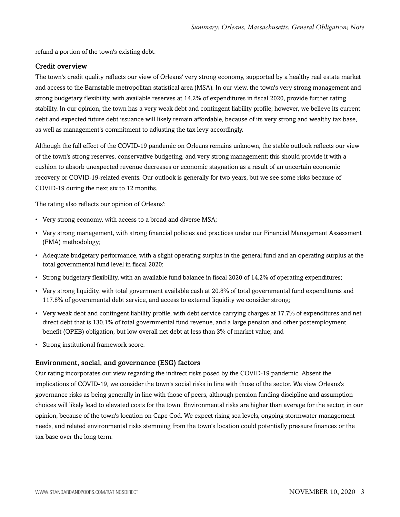refund a portion of the town's existing debt.

## Credit overview

The town's credit quality reflects our view of Orleans' very strong economy, supported by a healthy real estate market and access to the Barnstable metropolitan statistical area (MSA). In our view, the town's very strong management and strong budgetary flexibility, with available reserves at 14.2% of expenditures in fiscal 2020, provide further rating stability. In our opinion, the town has a very weak debt and contingent liability profile; however, we believe its current debt and expected future debt issuance will likely remain affordable, because of its very strong and wealthy tax base, as well as management's commitment to adjusting the tax levy accordingly.

Although the full effect of the COVID-19 pandemic on Orleans remains unknown, the stable outlook reflects our view of the town's strong reserves, conservative budgeting, and very strong management; this should provide it with a cushion to absorb unexpected revenue decreases or economic stagnation as a result of an uncertain economic recovery or COVID-19-related events. Our outlook is generally for two years, but we see some risks because of COVID-19 during the next six to 12 months.

The rating also reflects our opinion of Orleans':

- Very strong economy, with access to a broad and diverse MSA;
- Very strong management, with strong financial policies and practices under our Financial Management Assessment (FMA) methodology;
- Adequate budgetary performance, with a slight operating surplus in the general fund and an operating surplus at the total governmental fund level in fiscal 2020;
- Strong budgetary flexibility, with an available fund balance in fiscal 2020 of 14.2% of operating expenditures;
- Very strong liquidity, with total government available cash at 20.8% of total governmental fund expenditures and 117.8% of governmental debt service, and access to external liquidity we consider strong;
- Very weak debt and contingent liability profile, with debt service carrying charges at 17.7% of expenditures and net direct debt that is 130.1% of total governmental fund revenue, and a large pension and other postemployment benefit (OPEB) obligation, but low overall net debt at less than 3% of market value; and
- Strong institutional framework score.

### Environment, social, and governance (ESG) factors

Our rating incorporates our view regarding the indirect risks posed by the COVID-19 pandemic. Absent the implications of COVID-19, we consider the town's social risks in line with those of the sector. We view Orleans's governance risks as being generally in line with those of peers, although pension funding discipline and assumption choices will likely lead to elevated costs for the town. Environmental risks are higher than average for the sector, in our opinion, because of the town's location on Cape Cod. We expect rising sea levels, ongoing stormwater management needs, and related environmental risks stemming from the town's location could potentially pressure finances or the tax base over the long term.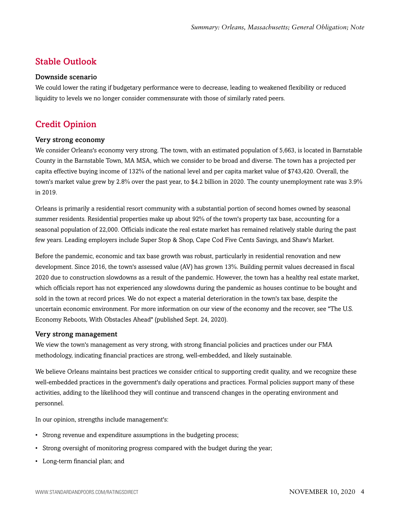## <span id="page-3-0"></span>Stable Outlook

#### Downside scenario

We could lower the rating if budgetary performance were to decrease, leading to weakened flexibility or reduced liquidity to levels we no longer consider commensurate with those of similarly rated peers.

## <span id="page-3-1"></span>Credit Opinion

#### Very strong economy

We consider Orleans's economy very strong. The town, with an estimated population of 5,663, is located in Barnstable County in the Barnstable Town, MA MSA, which we consider to be broad and diverse. The town has a projected per capita effective buying income of 132% of the national level and per capita market value of \$743,420. Overall, the town's market value grew by 2.8% over the past year, to \$4.2 billion in 2020. The county unemployment rate was 3.9% in 2019.

Orleans is primarily a residential resort community with a substantial portion of second homes owned by seasonal summer residents. Residential properties make up about 92% of the town's property tax base, accounting for a seasonal population of 22,000. Officials indicate the real estate market has remained relatively stable during the past few years. Leading employers include Super Stop & Shop, Cape Cod Five Cents Savings, and Shaw's Market.

Before the pandemic, economic and tax base growth was robust, particularly in residential renovation and new development. Since 2016, the town's assessed value (AV) has grown 13%. Building permit values decreased in fiscal 2020 due to construction slowdowns as a result of the pandemic. However, the town has a healthy real estate market, which officials report has not experienced any slowdowns during the pandemic as houses continue to be bought and sold in the town at record prices. We do not expect a material deterioration in the town's tax base, despite the uncertain economic environment. For more information on our view of the economy and the recover, see "The U.S. Economy Reboots, With Obstacles Ahead" (published Sept. 24, 2020).

#### Very strong management

We view the town's management as very strong, with strong financial policies and practices under our FMA methodology, indicating financial practices are strong, well-embedded, and likely sustainable.

We believe Orleans maintains best practices we consider critical to supporting credit quality, and we recognize these well-embedded practices in the government's daily operations and practices. Formal policies support many of these activities, adding to the likelihood they will continue and transcend changes in the operating environment and personnel.

In our opinion, strengths include management's:

- Strong revenue and expenditure assumptions in the budgeting process;
- Strong oversight of monitoring progress compared with the budget during the year;
- Long-term financial plan; and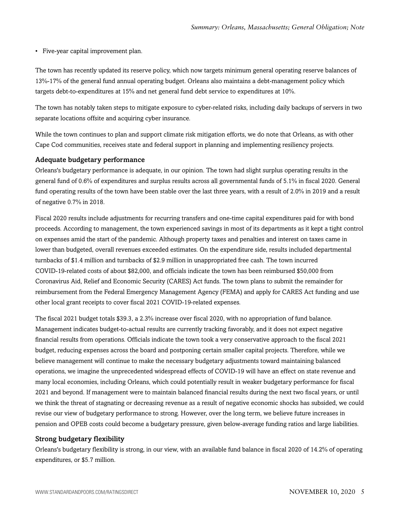• Five-year capital improvement plan.

The town has recently updated its reserve policy, which now targets minimum general operating reserve balances of 13%-17% of the general fund annual operating budget. Orleans also maintains a debt-management policy which targets debt-to-expenditures at 15% and net general fund debt service to expenditures at 10%.

The town has notably taken steps to mitigate exposure to cyber-related risks, including daily backups of servers in two separate locations offsite and acquiring cyber insurance.

While the town continues to plan and support climate risk mitigation efforts, we do note that Orleans, as with other Cape Cod communities, receives state and federal support in planning and implementing resiliency projects.

#### Adequate budgetary performance

Orleans's budgetary performance is adequate, in our opinion. The town had slight surplus operating results in the general fund of 0.6% of expenditures and surplus results across all governmental funds of 5.1% in fiscal 2020. General fund operating results of the town have been stable over the last three years, with a result of 2.0% in 2019 and a result of negative 0.7% in 2018.

Fiscal 2020 results include adjustments for recurring transfers and one-time capital expenditures paid for with bond proceeds. According to management, the town experienced savings in most of its departments as it kept a tight control on expenses amid the start of the pandemic. Although property taxes and penalties and interest on taxes came in lower than budgeted, overall revenues exceeded estimates. On the expenditure side, results included departmental turnbacks of \$1.4 million and turnbacks of \$2.9 million in unappropriated free cash. The town incurred COVID-19-related costs of about \$82,000, and officials indicate the town has been reimbursed \$50,000 from Coronavirus Aid, Relief and Economic Security (CARES) Act funds. The town plans to submit the remainder for reimbursement from the Federal Emergency Management Agency (FEMA) and apply for CARES Act funding and use other local grant receipts to cover fiscal 2021 COVID-19-related expenses.

The fiscal 2021 budget totals \$39.3, a 2.3% increase over fiscal 2020, with no appropriation of fund balance. Management indicates budget-to-actual results are currently tracking favorably, and it does not expect negative financial results from operations. Officials indicate the town took a very conservative approach to the fiscal 2021 budget, reducing expenses across the board and postponing certain smaller capital projects. Therefore, while we believe management will continue to make the necessary budgetary adjustments toward maintaining balanced operations, we imagine the unprecedented widespread effects of COVID-19 will have an effect on state revenue and many local economies, including Orleans, which could potentially result in weaker budgetary performance for fiscal 2021 and beyond. If management were to maintain balanced financial results during the next two fiscal years, or until we think the threat of stagnating or decreasing revenue as a result of negative economic shocks has subsided, we could revise our view of budgetary performance to strong. However, over the long term, we believe future increases in pension and OPEB costs could become a budgetary pressure, given below-average funding ratios and large liabilities.

#### Strong budgetary flexibility

Orleans's budgetary flexibility is strong, in our view, with an available fund balance in fiscal 2020 of 14.2% of operating expenditures, or \$5.7 million.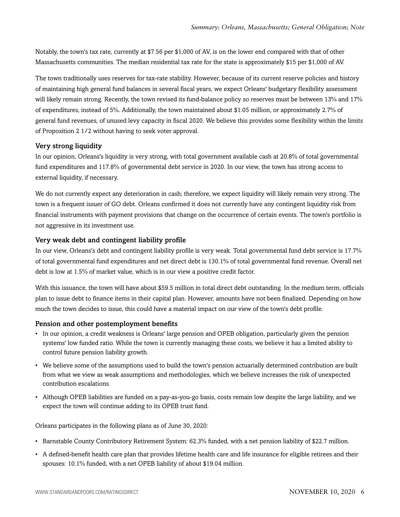Notably, the town's tax rate, currently at \$7.56 per \$1,000 of AV, is on the lower end compared with that of other Massachusetts communities. The median residential tax rate for the state is approximately \$15 per \$1,000 of AV.

The town traditionally uses reserves for tax-rate stability. However, because of its current reserve policies and history of maintaining high general fund balances in several fiscal years, we expect Orleans' budgetary flexibility assessment will likely remain strong. Recently, the town revised its fund-balance policy so reserves must be between 13% and 17% of expenditures, instead of 5%. Additionally, the town maintained about \$1.05 million, or approximately 2.7% of general fund revenues, of unused levy capacity in fiscal 2020. We believe this provides some flexibility within the limits of Proposition 2 1/2 without having to seek voter approval.

## Very strong liquidity

In our opinion, Orleans's liquidity is very strong, with total government available cash at 20.8% of total governmental fund expenditures and 117.8% of governmental debt service in 2020. In our view, the town has strong access to external liquidity, if necessary.

We do not currently expect any deterioration in cash; therefore, we expect liquidity will likely remain very strong. The town is a frequent issuer of GO debt. Orleans confirmed it does not currently have any contingent liquidity risk from financial instruments with payment provisions that change on the occurrence of certain events. The town's portfolio is not aggressive in its investment use.

## Very weak debt and contingent liability profile

In our view, Orleans's debt and contingent liability profile is very weak. Total governmental fund debt service is 17.7% of total governmental fund expenditures and net direct debt is 130.1% of total governmental fund revenue. Overall net debt is low at 1.5% of market value, which is in our view a positive credit factor.

With this issuance, the town will have about \$59.5 million in total direct debt outstanding. In the medium term, officials plan to issue debt to finance items in their capital plan. However, amounts have not been finalized. Depending on how much the town decides to issue, this could have a material impact on our view of the town's debt profile.

### Pension and other postemployment benefits

- In our opinion, a credit weakness is Orleans' large pension and OPEB obligation, particularly given the pension systems' low funded ratio. While the town is currently managing these costs, we believe it has a limited ability to control future pension liability growth.
- We believe some of the assumptions used to build the town's pension actuarially determined contribution are built from what we view as weak assumptions and methodologies, which we believe increases the risk of unexpected contribution escalations.
- Although OPEB liabilities are funded on a pay-as-you-go basis, costs remain low despite the large liability, and we expect the town will continue adding to its OPEB trust fund.

Orleans participates in the following plans as of June 30, 2020:

- Barnstable County Contributory Retirement System: 62.3% funded, with a net pension liability of \$22.7 million.
- A defined-benefit health care plan that provides lifetime health care and life insurance for eligible retirees and their spouses: 10.1% funded, with a net OPEB liability of about \$19.04 million.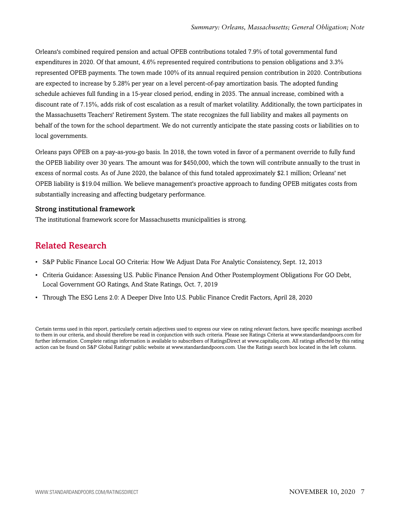Orleans's combined required pension and actual OPEB contributions totaled 7.9% of total governmental fund expenditures in 2020. Of that amount, 4.6% represented required contributions to pension obligations and 3.3% represented OPEB payments. The town made 100% of its annual required pension contribution in 2020. Contributions are expected to increase by 5.28% per year on a level percent-of-pay amortization basis. The adopted funding schedule achieves full funding in a 15-year closed period, ending in 2035. The annual increase, combined with a discount rate of 7.15%, adds risk of cost escalation as a result of market volatility. Additionally, the town participates in the Massachusetts Teachers' Retirement System. The state recognizes the full liability and makes all payments on behalf of the town for the school department. We do not currently anticipate the state passing costs or liabilities on to local governments.

Orleans pays OPEB on a pay-as-you-go basis. In 2018, the town voted in favor of a permanent override to fully fund the OPEB liability over 30 years. The amount was for \$450,000, which the town will contribute annually to the trust in excess of normal costs. As of June 2020, the balance of this fund totaled approximately \$2.1 million; Orleans' net OPEB liability is \$19.04 million. We believe management's proactive approach to funding OPEB mitigates costs from substantially increasing and affecting budgetary performance.

#### Strong institutional framework

<span id="page-6-0"></span>The institutional framework score for Massachusetts municipalities is strong.

## Related Research

- S&P Public Finance Local GO Criteria: How We Adjust Data For Analytic Consistency, Sept. 12, 2013
- Criteria Guidance: Assessing U.S. Public Finance Pension And Other Postemployment Obligations For GO Debt, Local Government GO Ratings, And State Ratings, Oct. 7, 2019
- Through The ESG Lens 2.0: A Deeper Dive Into U.S. Public Finance Credit Factors, April 28, 2020

Certain terms used in this report, particularly certain adjectives used to express our view on rating relevant factors, have specific meanings ascribed to them in our criteria, and should therefore be read in conjunction with such criteria. Please see Ratings Criteria at www.standardandpoors.com for further information. Complete ratings information is available to subscribers of RatingsDirect at www.capitaliq.com. All ratings affected by this rating action can be found on S&P Global Ratings' public website at www.standardandpoors.com. Use the Ratings search box located in the left column.